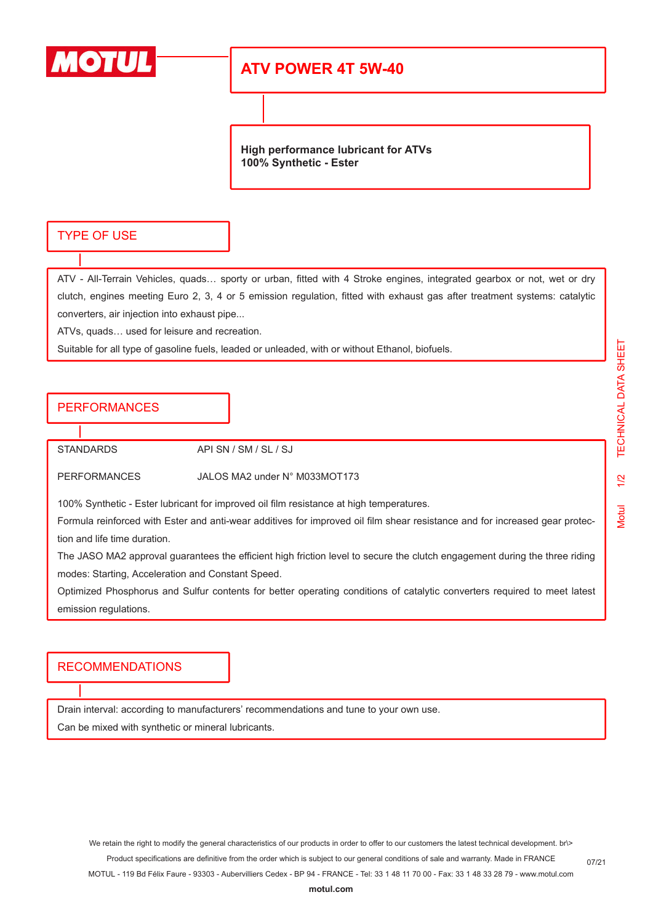

# **ATV POWER 4T 5W-40**

**High performance lubricant for ATVs 100% Synthetic - Ester**

### TYPE OF USE

ATV - All-Terrain Vehicles, quads… sporty or urban, fitted with 4 Stroke engines, integrated gearbox or not, wet or dry clutch, engines meeting Euro 2, 3, 4 or 5 emission regulation, fitted with exhaust gas after treatment systems: catalytic converters, air injection into exhaust pipe...

ATVs, quads… used for leisure and recreation.

Suitable for all type of gasoline fuels, leaded or unleaded, with or without Ethanol, biofuels.

### PERFORMANCES

STANDARDS API SN / SM / SL / SJ

PERFORMANCES JALOS MA2 under N° M033MOT173

100% Synthetic - Ester lubricant for improved oil film resistance at high temperatures.

Formula reinforced with Ester and anti-wear additives for improved oil film shear resistance and for increased gear protection and life time duration.

The JASO MA2 approval guarantees the efficient high friction level to secure the clutch engagement during the three riding modes: Starting, Acceleration and Constant Speed.

Optimized Phosphorus and Sulfur contents for better operating conditions of catalytic converters required to meet latest emission regulations.

#### RECOMMENDATIONS

Drain interval: according to manufacturers' recommendations and tune to your own use. Can be mixed with synthetic or mineral lubricants.

We retain the right to modify the general characteristics of our products in order to offer to our customers the latest technical development. br\> Product specifications are definitive from the order which is subject to our general conditions of sale and warranty. Made in FRANCE

MOTUL - 119 Bd Félix Faure - 93303 - Aubervilliers Cedex - BP 94 - FRANCE - Tel: 33 1 48 11 70 00 - Fax: 33 1 48 33 28 79 - www.motul.com

07/21